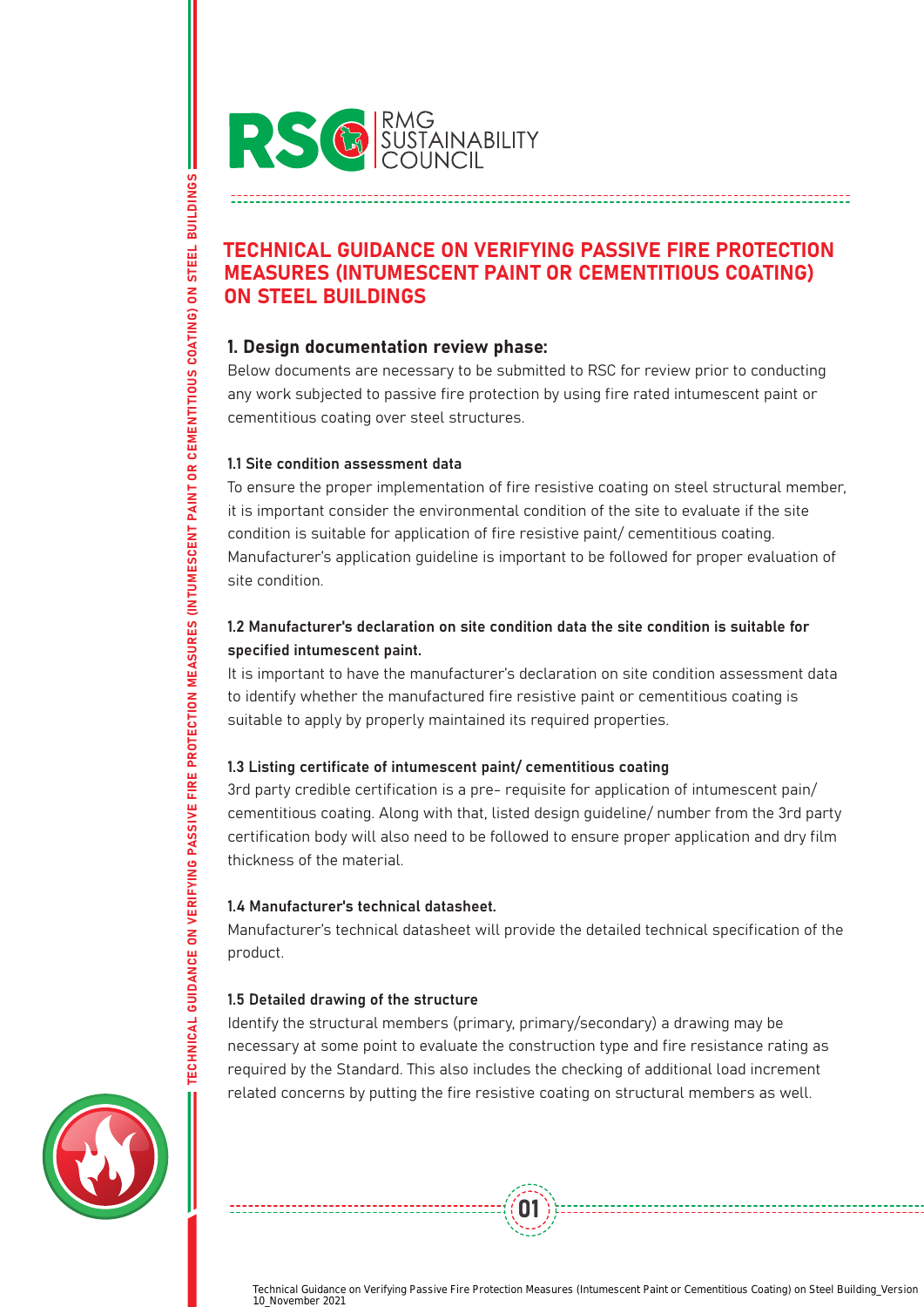

# TECHNICAL GUIDANCE ON VERIFYING PASSIVE FIRE PROTECTION MEASURES (INTUMESCENT PAINT OR CEMENTITIOUS COATING) ON STEEL BUILDINGS

# 1. Design documentation review phase:

Below documents are necessary to be submitted to RSC for review prior to conducting any work subjected to passive fire protection by using fire rated intumescent paint or cementitious coating over steel structures.

### 1.1 Site condition assessment data

TECHNICAL GUIDANCE ON VERIFYING PASSIVE FIRE PROTECTION MEASURES (INTUMESCENT PAINT OR CEMENTITIOUS COATING) ON STEEL BUILDINGS

TECHNICAL GUIDANCE ON VERIFYING PASSIVE FIRE PROTECTION MEASURES (INTUMESCENT PAINT OR CEMENTITIOUS COATING)

**STEEL BUILDINGS** 

 $\overline{\mathsf{S}}$ 

To ensure the proper implementation of fire resistive coating on steel structural member, it is important consider the environmental condition of the site to evaluate if the site condition is suitable for application of fire resistive paint/ cementitious coating. Manufacturer's application guideline is important to be followed for proper evaluation of site condition.

# 1.2 Manufacturer's declaration on site condition data the site condition is suitable for specified intumescent paint.

It is important to have the manufacturer's declaration on site condition assessment data to identify whether the manufactured fire resistive paint or cementitious coating is suitable to apply by properly maintained its required properties.

# 1.3 Listing certificate of intumescent paint/ cementitious coating

3rd party credible certification is a pre- requisite for application of intumescent pain/ cementitious coating. Along with that, listed design guideline/ number from the 3rd party certification body will also need to be followed to ensure proper application and dry film thickness of the material.

# 1.4 Manufacturer's technical datasheet.

Manufacturer's technical datasheet will provide the detailed technical specification of the product.

# 1.5 Detailed drawing of the structure

Identify the structural members (primary, primary/secondary) a drawing may be necessary at some point to evaluate the construction type and fire resistance rating as required by the Standard. This also includes the checking of additional load increment related concerns by putting the fire resistive coating on structural members as well.

01

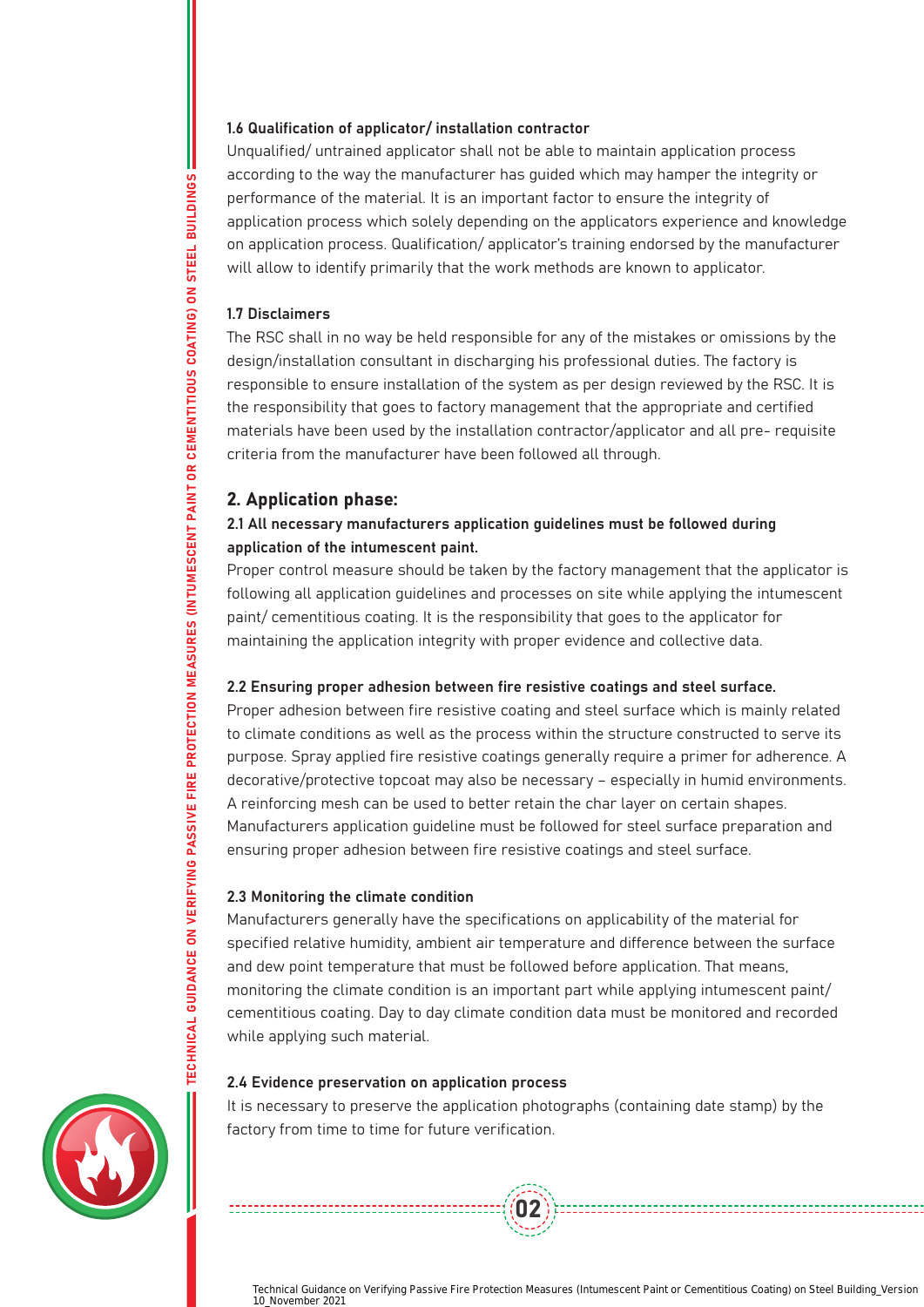### 1.6 Qualification of applicator/ installation contractor

Unqualified/ untrained applicator shall not be able to maintain application process according to the way the manufacturer has guided which may hamper the integrity or performance of the material. It is an important factor to ensure the integrity of application process which solely depending on the applicators experience and knowledge on application process. Qualification/ applicator's training endorsed by the manufacturer will allow to identify primarily that the work methods are known to applicator.

#### 1.7 Disclaimers

The RSC shall in no way be held responsible for any of the mistakes or omissions by the design/installation consultant in discharging his professional duties. The factory is responsible to ensure installation of the system as per design reviewed by the RSC. It is the responsibility that goes to factory management that the appropriate and certified materials have been used by the installation contractor/applicator and all pre- requisite criteria from the manufacturer have been followed all through.

# 2. Application phase:

# 2.1 All necessary manufacturers application guidelines must be followed during application of the intumescent paint.

Proper control measure should be taken by the factory management that the applicator is following all application guidelines and processes on site while applying the intumescent paint/ cementitious coating. It is the responsibility that goes to the applicator for maintaining the application integrity with proper evidence and collective data.

### 2.2 Ensuring proper adhesion between fire resistive coatings and steel surface.

Proper adhesion between fire resistive coating and steel surface which is mainly related to climate conditions as well as the process within the structure constructed to serve its purpose. Spray applied fire resistive coatings generally require a primer for adherence. A decorative/protective topcoat may also be necessary – especially in humid environments. A reinforcing mesh can be used to better retain the char layer on certain shapes. Manufacturers application guideline must be followed for steel surface preparation and ensuring proper adhesion between fire resistive coatings and steel surface.

### 2.3 Monitoring the climate condition

Manufacturers generally have the specifications on applicability of the material for specified relative humidity, ambient air temperature and difference between the surface and dew point temperature that must be followed before application. That means, monitoring the climate condition is an important part while applying intumescent paint/ cementitious coating. Day to day climate condition data must be monitored and recorded while applying such material.

### 2.4 Evidence preservation on application process

It is necessary to preserve the application photographs (containing date stamp) by the factory from time to time for future verification.

 $(02)$